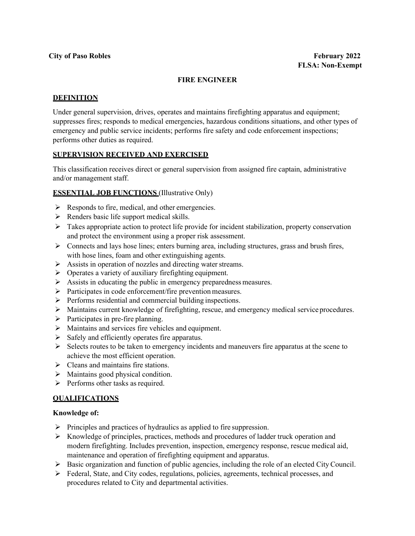## **FIRE ENGINEER**

#### **DEFINITION**

Under general supervision, drives, operates and maintains firefighting apparatus and equipment; suppresses fires; responds to medical emergencies, hazardous conditions situations, and other types of emergency and public service incidents; performs fire safety and code enforcement inspections; performs other duties as required.

#### **SUPERVISION RECEIVED AND EXERCISED**

This classification receives direct or general supervision from assigned fire captain, administrative and/or management staff.

#### **ESSENTIAL JOB FUNCTIONS** (Illustrative Only)

- $\triangleright$  Responds to fire, medical, and other emergencies.
- $\triangleright$  Renders basic life support medical skills.
- $\triangleright$  Takes appropriate action to protect life provide for incident stabilization, property conservation and protect the environment using a proper risk assessment.
- $\triangleright$  Connects and lays hose lines; enters burning area, including structures, grass and brush fires, with hose lines, foam and other extinguishing agents.
- $\triangleright$  Assists in operation of nozzles and directing water streams.
- $\triangleright$  Operates a variety of auxiliary firefighting equipment.
- $\triangleright$  Assists in educating the public in emergency preparedness measures.
- $\triangleright$  Participates in code enforcement/fire prevention measures.
- $\triangleright$  Performs residential and commercial building inspections.
- $\triangleright$  Maintains current knowledge of firefighting, rescue, and emergency medical service procedures.
- $\triangleright$  Participates in pre-fire planning.
- $\triangleright$  Maintains and services fire vehicles and equipment.
- $\triangleright$  Safely and efficiently operates fire apparatus.
- $\triangleright$  Selects routes to be taken to emergency incidents and maneuvers fire apparatus at the scene to achieve the most efficient operation.
- $\triangleright$  Cleans and maintains fire stations.
- $\triangleright$  Maintains good physical condition.
- $\triangleright$  Performs other tasks as required.

## **QUALIFICATIONS**

#### **Knowledge of:**

- $\triangleright$  Principles and practices of hydraulics as applied to fire suppression.
- $\triangleright$  Knowledge of principles, practices, methods and procedures of ladder truck operation and modern firefighting. Includes prevention, inspection, emergency response, rescue medical aid, maintenance and operation of firefighting equipment and apparatus.
- $\triangleright$  Basic organization and function of public agencies, including the role of an elected City Council.
- $\triangleright$  Federal, State, and City codes, regulations, policies, agreements, technical processes, and procedures related to City and departmental activities.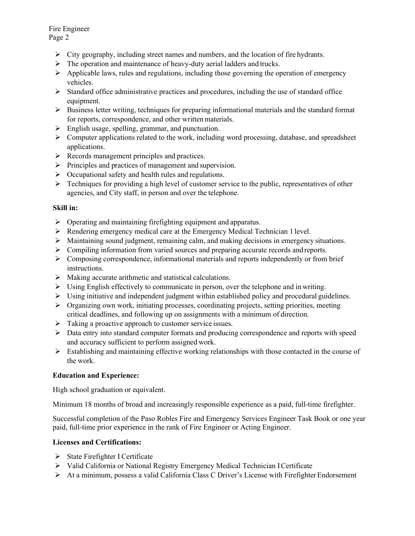Fire Engineer Page 2

- $\triangleright$  City geography, including street names and numbers, and the location of fire hydrants.
- $\triangleright$  The operation and maintenance of heavy-duty aerial ladders and trucks.
- $\triangleright$  Applicable laws, rules and regulations, including those governing the operation of emergency vehicles.
- $\triangleright$  Standard office administrative practices and procedures, including the use of standard office equipment.
- $\triangleright$  Business letter writing, techniques for preparing informational materials and the standard format for reports, correspondence, and other written materials.
- $\triangleright$  English usage, spelling, grammar, and punctuation.
- $\triangleright$  Computer applications related to the work, including word processing, database, and spreadsheet applications.
- $\triangleright$  Records management principles and practices.
- $\triangleright$  Principles and practices of management and supervision.
- $\triangleright$  Occupational safety and health rules and regulations.
- $\triangleright$  Techniques for providing a high level of customer service to the public, representatives of other agencies, and City staff, in person and over the telephone.

# **Skill in:**

- $\triangleright$  Operating and maintaining firefighting equipment and apparatus.
- $\triangleright$  Rendering emergency medical care at the Emergency Medical Technician 1 level.
- $\triangleright$  Maintaining sound judgment, remaining calm, and making decisions in emergency situations.
- $\triangleright$  Compiling information from varied sources and preparing accurate records and reports.
- $\triangleright$  Composing correspondence, informational materials and reports independently or from brief instructions.
- $\triangleright$  Making accurate arithmetic and statistical calculations.
- Using English effectively to communicate in person, over the telephone and inwriting.
- $\triangleright$  Using initiative and independent judgment within established policy and procedural guidelines.
- $\triangleright$  Organizing own work, initiating processes, coordinating projects, setting priorities, meeting critical deadlines, and following up on assignments with a minimum of direction.
- > Taking a proactive approach to customer service issues.
- $\triangleright$  Data entry into standard computer formats and producing correspondence and reports with speed and accuracy sufficient to perform assigned work.
- $\triangleright$  Establishing and maintaining effective working relationships with those contacted in the course of the work.

# **Education and Experience:**

High school graduation or equivalent.

Minimum 18 months of broad and increasingly responsible experience as a paid, full-time firefighter.

Successful completion of the Paso Robles Fire and Emergency Services Engineer Task Book or one year paid, full-time prior experience in the rank of Fire Engineer or Acting Engineer.

# **Licenses and Certifications:**

- $\triangleright$  State Firefighter I Certificate
- Valid California or National Registry Emergency Medical Technician ICertificate
- $\triangleright$  At a minimum, possess a valid California Class C Driver's License with Firefighter Endorsement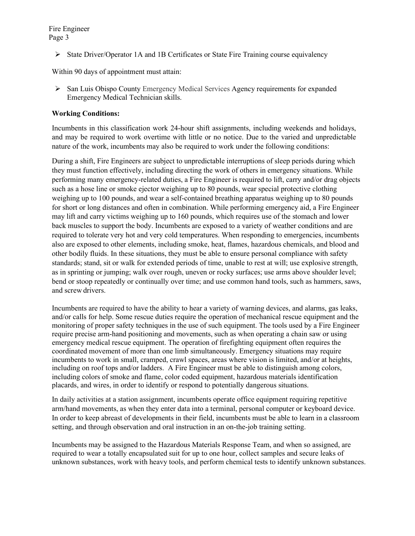$\triangleright$  State Driver/Operator 1A and 1B Certificates or State Fire Training course equivalency

Within 90 days of appointment must attain:

 $\triangleright$  San Luis Obispo County Emergency Medical Services Agency requirements for expanded Emergency Medical Technician skills.

## **Working Conditions:**

Incumbents in this classification work 24-hour shift assignments, including weekends and holidays, and may be required to work overtime with little or no notice. Due to the varied and unpredictable nature of the work, incumbents may also be required to work under the following conditions:

During a shift, Fire Engineers are subject to unpredictable interruptions of sleep periods during which they must function effectively, including directing the work of others in emergency situations. While performing many emergency-related duties, a Fire Engineer is required to lift, carry and/or drag objects such as a hose line or smoke ejector weighing up to 80 pounds, wear special protective clothing weighing up to 100 pounds, and wear a self-contained breathing apparatus weighing up to 80 pounds for short or long distances and often in combination. While performing emergency aid, a Fire Engineer may lift and carry victims weighing up to 160 pounds, which requires use of the stomach and lower back muscles to support the body. Incumbents are exposed to a variety of weather conditions and are required to tolerate very hot and very cold temperatures. When responding to emergencies, incumbents also are exposed to other elements, including smoke, heat, flames, hazardous chemicals, and blood and other bodily fluids. In these situations, they must be able to ensure personal compliance with safety standards; stand, sit or walk for extended periods of time, unable to rest at will; use explosive strength, as in sprinting or jumping; walk over rough, uneven or rocky surfaces; use arms above shoulder level; bend or stoop repeatedly or continually over time; and use common hand tools, such as hammers, saws, and screw drivers.

Incumbents are required to have the ability to hear a variety of warning devices, and alarms, gas leaks, and/or calls for help. Some rescue duties require the operation of mechanical rescue equipment and the monitoring of proper safety techniques in the use of such equipment. The tools used by a Fire Engineer require precise arm-hand positioning and movements, such as when operating a chain saw or using emergency medical rescue equipment. The operation of firefighting equipment often requires the coordinated movement of more than one limb simultaneously. Emergency situations may require incumbents to work in small, cramped, crawl spaces, areas where vision is limited, and/or at heights, including on roof tops and/or ladders. A Fire Engineer must be able to distinguish among colors, including colors of smoke and flame, color coded equipment, hazardous materials identification placards, and wires, in order to identify or respond to potentially dangerous situations.

In daily activities at a station assignment, incumbents operate office equipment requiring repetitive arm/hand movements, as when they enter data into a terminal, personal computer or keyboard device. In order to keep abreast of developments in their field, incumbents must be able to learn in a classroom setting, and through observation and oral instruction in an on-the-job training setting.

Incumbents may be assigned to the Hazardous Materials Response Team, and when so assigned, are required to wear a totally encapsulated suit for up to one hour, collect samples and secure leaks of unknown substances, work with heavy tools, and perform chemical tests to identify unknown substances.